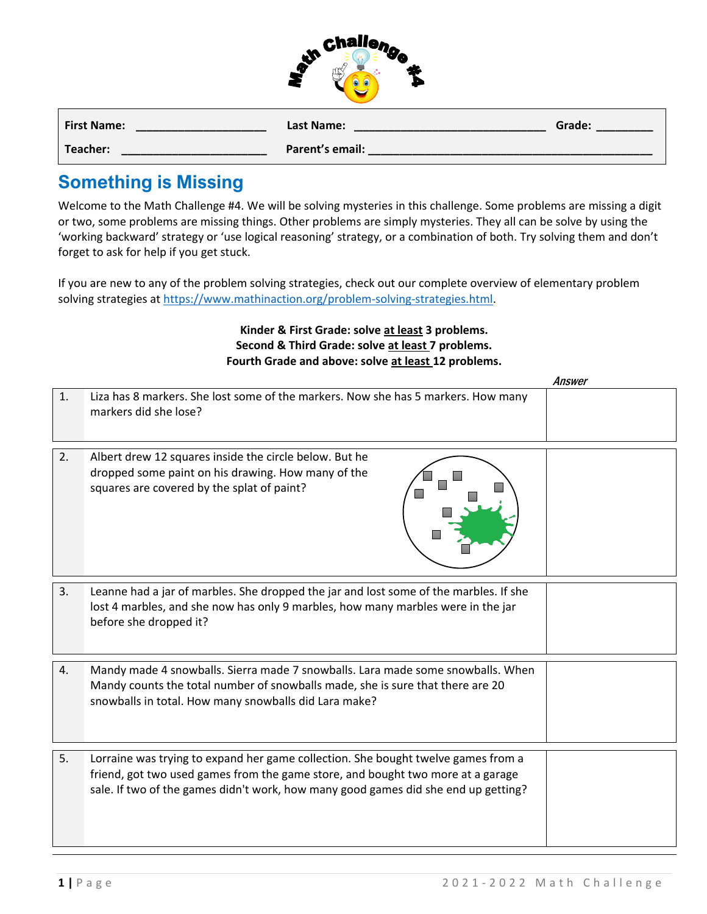| <b>Challen</b> |    |
|----------------|----|
|                | 42 |
|                |    |

| <b>First Name:</b> | Last Name:      | Grade: |
|--------------------|-----------------|--------|
| <b>Teacher:</b>    | Parent's email: |        |

## **Something is Missing**

Welcome to the Math Challenge #4. We will be solving mysteries in this challenge. Some problems are missing a digit or two, some problems are missing things. Other problems are simply mysteries. They all can be solve by using the 'working backward' strategy or 'use logical reasoning' strategy, or a combination of both. Try solving them and don't forget to ask for help if you get stuck.

If you are new to any of the problem solving strategies, check out our complete overview of elementary problem solving strategies a[t https://www.mathinaction.org/problem-solving-strategies.html.](about:blank)

## **Kinder & First Grade: solve at least 3 problems. Second & Third Grade: solve at least 7 problems. Fourth Grade and above: solve at least 12 problems.**

|    |                                                                                                                                                                                                                                                            | Answer |
|----|------------------------------------------------------------------------------------------------------------------------------------------------------------------------------------------------------------------------------------------------------------|--------|
| 1. | Liza has 8 markers. She lost some of the markers. Now she has 5 markers. How many<br>markers did she lose?                                                                                                                                                 |        |
| 2. | Albert drew 12 squares inside the circle below. But he<br>dropped some paint on his drawing. How many of the<br>squares are covered by the splat of paint?                                                                                                 |        |
| 3. | Leanne had a jar of marbles. She dropped the jar and lost some of the marbles. If she<br>lost 4 marbles, and she now has only 9 marbles, how many marbles were in the jar<br>before she dropped it?                                                        |        |
| 4. | Mandy made 4 snowballs. Sierra made 7 snowballs. Lara made some snowballs. When<br>Mandy counts the total number of snowballs made, she is sure that there are 20<br>snowballs in total. How many snowballs did Lara make?                                 |        |
| 5. | Lorraine was trying to expand her game collection. She bought twelve games from a<br>friend, got two used games from the game store, and bought two more at a garage<br>sale. If two of the games didn't work, how many good games did she end up getting? |        |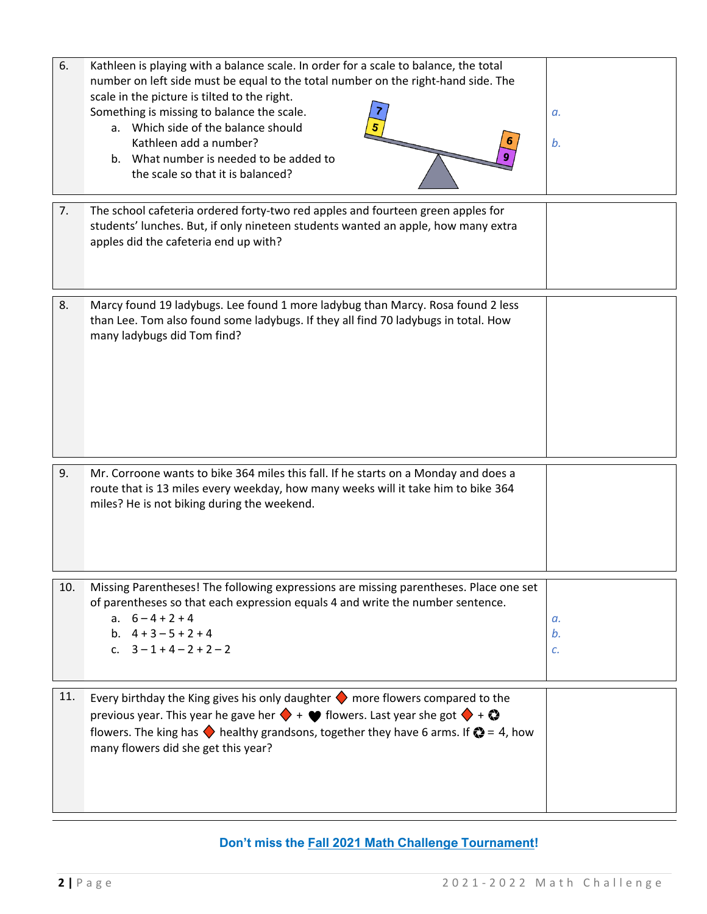| 6.  | Kathleen is playing with a balance scale. In order for a scale to balance, the total<br>number on left side must be equal to the total number on the right-hand side. The<br>scale in the picture is tilted to the right.<br>Something is missing to balance the scale.<br>a. Which side of the balance should<br>Kathleen add a number?<br>b. What number is needed to be added to<br>the scale so that it is balanced? | a.<br>b.       |
|-----|--------------------------------------------------------------------------------------------------------------------------------------------------------------------------------------------------------------------------------------------------------------------------------------------------------------------------------------------------------------------------------------------------------------------------|----------------|
| 7.  | The school cafeteria ordered forty-two red apples and fourteen green apples for<br>students' lunches. But, if only nineteen students wanted an apple, how many extra<br>apples did the cafeteria end up with?                                                                                                                                                                                                            |                |
| 8.  | Marcy found 19 ladybugs. Lee found 1 more ladybug than Marcy. Rosa found 2 less<br>than Lee. Tom also found some ladybugs. If they all find 70 ladybugs in total. How<br>many ladybugs did Tom find?                                                                                                                                                                                                                     |                |
| 9.  | Mr. Corroone wants to bike 364 miles this fall. If he starts on a Monday and does a<br>route that is 13 miles every weekday, how many weeks will it take him to bike 364<br>miles? He is not biking during the weekend.                                                                                                                                                                                                  |                |
| 10. | Missing Parentheses! The following expressions are missing parentheses. Place one set<br>of parentheses so that each expression equals 4 and write the number sentence.<br>a. $6-4+2+4$<br>b. $4 + 3 - 5 + 2 + 4$<br>c. $3-1+4-2+2-2$                                                                                                                                                                                    | a.<br>b.<br>c. |
| 11. | Every birthday the King gives his only daughter $\blacklozenge$ more flowers compared to the<br>previous year. This year he gave her $\blacklozenge$ + $\blacktriangleright$ flowers. Last year she got $\blacklozenge$ + $\blacklozenge$<br>flowers. The king has $\blacklozenge$ healthy grandsons, together they have 6 arms. If $\blacklozenge = 4$ , how<br>many flowers did she get this year?                     |                |

## **Don't miss the [Fall 2021 Math Challenge Tournament!](https://www.ellipsisacademy.com/fall-2021-math-challenge-tournament.html)**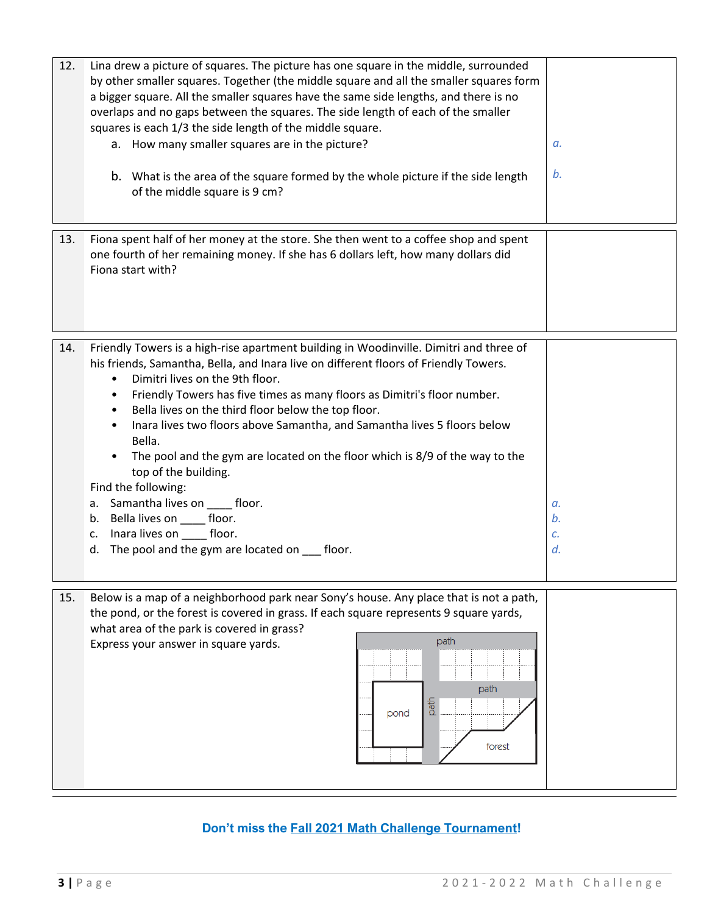| 12. | Lina drew a picture of squares. The picture has one square in the middle, surrounded<br>by other smaller squares. Together (the middle square and all the smaller squares form<br>a bigger square. All the smaller squares have the same side lengths, and there is no<br>overlaps and no gaps between the squares. The side length of each of the smaller<br>squares is each 1/3 the side length of the middle square.<br>a. How many smaller squares are in the picture?<br>b. What is the area of the square formed by the whole picture if the side length<br>of the middle square is 9 cm?                                                                                                                                                                                                    | а.<br>b.             |
|-----|----------------------------------------------------------------------------------------------------------------------------------------------------------------------------------------------------------------------------------------------------------------------------------------------------------------------------------------------------------------------------------------------------------------------------------------------------------------------------------------------------------------------------------------------------------------------------------------------------------------------------------------------------------------------------------------------------------------------------------------------------------------------------------------------------|----------------------|
| 13. | Fiona spent half of her money at the store. She then went to a coffee shop and spent<br>one fourth of her remaining money. If she has 6 dollars left, how many dollars did<br>Fiona start with?                                                                                                                                                                                                                                                                                                                                                                                                                                                                                                                                                                                                    |                      |
| 14. | Friendly Towers is a high-rise apartment building in Woodinville. Dimitri and three of<br>his friends, Samantha, Bella, and Inara live on different floors of Friendly Towers.<br>Dimitri lives on the 9th floor.<br>$\bullet$<br>Friendly Towers has five times as many floors as Dimitri's floor number.<br>$\bullet$<br>Bella lives on the third floor below the top floor.<br>$\bullet$<br>Inara lives two floors above Samantha, and Samantha lives 5 floors below<br>$\bullet$<br>Bella.<br>The pool and the gym are located on the floor which is 8/9 of the way to the<br>$\bullet$<br>top of the building.<br>Find the following:<br>a. Samantha lives on floor.<br>b. Bella lives on _____ floor.<br>Inara lives on floor.<br>c.<br>The pool and the gym are located on ___ floor.<br>d. | а.<br>b.<br>с.<br>d. |
| 15. | Below is a map of a neighborhood park near Sony's house. Any place that is not a path,<br>the pond, or the forest is covered in grass. If each square represents 9 square yards,<br>what area of the park is covered in grass?<br>path<br>Express your answer in square yards.<br>path<br>path<br>pond<br>forest                                                                                                                                                                                                                                                                                                                                                                                                                                                                                   |                      |

## **Don't miss the [Fall 2021 Math Challenge Tournament!](https://www.ellipsisacademy.com/fall-2021-math-challenge-tournament.html)**